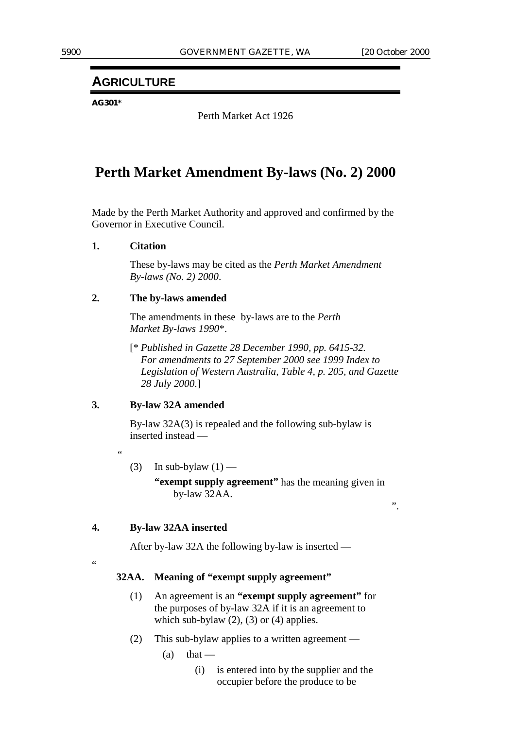## **AGRICULTURE**

**AG301\***

Perth Market Act 1926

# **Perth Market Amendment By-laws (No. 2) 2000**

Made by the Perth Market Authority and approved and confirmed by the Governor in Executive Council.

## **1. Citation**

These by-laws may be cited as the *Perth Market Amendment By-laws (No. 2) 2000*.

## **2. The by-laws amended**

The amendments in these by-laws are to the *Perth Market By-laws 1990*\*.

[\* *Published in Gazette 28 December 1990, pp. 6415-32. For amendments to 27 September 2000 see 1999 Index to Legislation of Western Australia, Table 4, p. 205, and Gazette 28 July 2000*.]

## **3. By-law 32A amended**

By-law 32A(3) is repealed and the following sub-bylaw is inserted instead —

.<br>44

(3) In sub-bylaw  $(1)$  —

**"exempt supply agreement"** has the meaning given in by-law 32AA.

".

## **4. By-law 32AA inserted**

After by-law 32A the following by-law is inserted —

.<br>44

#### **32AA. Meaning of "exempt supply agreement"**

- (1) An agreement is an **"exempt supply agreement"** for the purposes of by-law 32A if it is an agreement to which sub-bylaw  $(2)$ ,  $(3)$  or  $(4)$  applies.
- (2) This sub-bylaw applies to a written agreement
	- $(a)$  that
		- (i) is entered into by the supplier and the occupier before the produce to be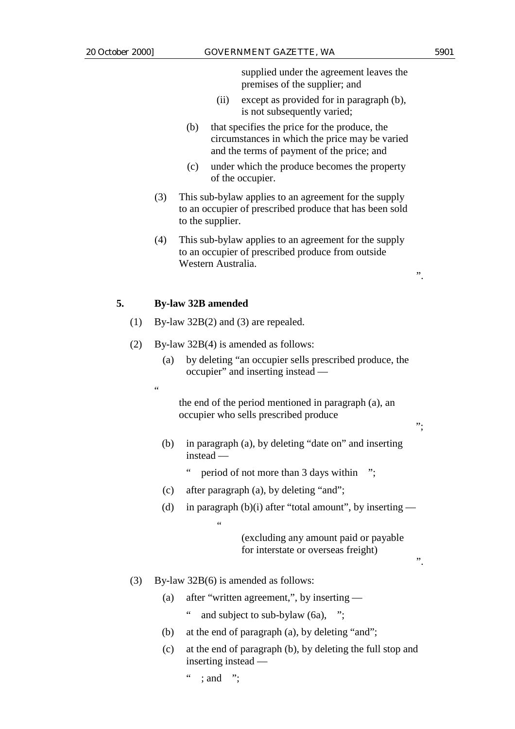supplied under the agreement leaves the premises of the supplier; and

- (ii) except as provided for in paragraph (b), is not subsequently varied;
- (b) that specifies the price for the produce, the circumstances in which the price may be varied and the terms of payment of the price; and
- (c) under which the produce becomes the property of the occupier.
- (3) This sub-bylaw applies to an agreement for the supply to an occupier of prescribed produce that has been sold to the supplier.
- (4) This sub-bylaw applies to an agreement for the supply to an occupier of prescribed produce from outside Western Australia.

## **5. By-law 32B amended**

- (1) By-law 32B(2) and (3) are repealed.
- (2) By-law 32B(4) is amended as follows:
	- (a) by deleting "an occupier sells prescribed produce, the occupier" and inserting instead —
	- .<br>.

the end of the period mentioned in paragraph (a), an occupier who sells prescribed produce

(b) in paragraph (a), by deleting "date on" and inserting instead —

" period of not more than 3 days within ";

- (c) after paragraph (a), by deleting "and";
- (d) in paragraph (b)(i) after "total amount", by inserting —

(excluding any amount paid or payable for interstate or overseas freight)

(3) By-law 32B(6) is amended as follows:

 $\cdots$  ; and ":

.<br>ده

- (a) after "written agreement,", by inserting
	- and subject to sub-bylaw  $(6a)$ , ";
- (b) at the end of paragraph (a), by deleting "and";
- (c) at the end of paragraph (b), by deleting the full stop and inserting instead —

".

";

".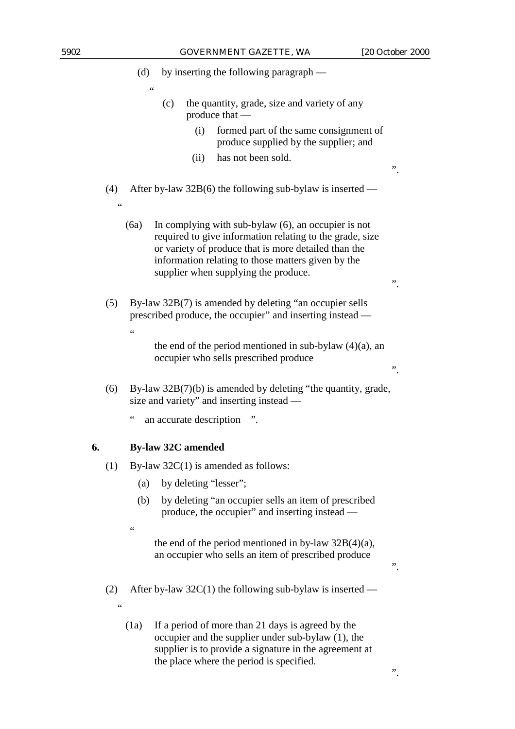".

".

".

".

".

(d) by inserting the following paragraph —

- (c) the quantity, grade, size and variety of any produce that —
	- (i) formed part of the same consignment of produce supplied by the supplier; and
	- (ii) has not been sold.
- (4) After by-law 32B(6) the following sub-bylaw is inserted
	- (6a) In complying with sub-bylaw (6), an occupier is not required to give information relating to the grade, size or variety of produce that is more detailed than the information relating to those matters given by the supplier when supplying the produce.
- (5) By-law 32B(7) is amended by deleting "an occupier sells prescribed produce, the occupier" and inserting instead
	- the end of the period mentioned in sub-bylaw  $(4)(a)$ , an occupier who sells prescribed produce
- (6) By-law 32B(7)(b) is amended by deleting "the quantity, grade, size and variety" and inserting instead —
	- " an accurate description ".

## **6. By-law 32C amended**

 $\epsilon$ 

<u>،</u>

"

- (1) By-law 32C(1) is amended as follows:
	- (a) by deleting "lesser";
	- (b) by deleting "an occupier sells an item of prescribed produce, the occupier" and inserting instead —
	- .<br>د د

"

the end of the period mentioned in by-law  $32B(4)(a)$ , an occupier who sells an item of prescribed produce

- (2) After by-law  $32C(1)$  the following sub-bylaw is inserted
	- (1a) If a period of more than 21 days is agreed by the occupier and the supplier under sub-bylaw (1), the supplier is to provide a signature in the agreement at the place where the period is specified.